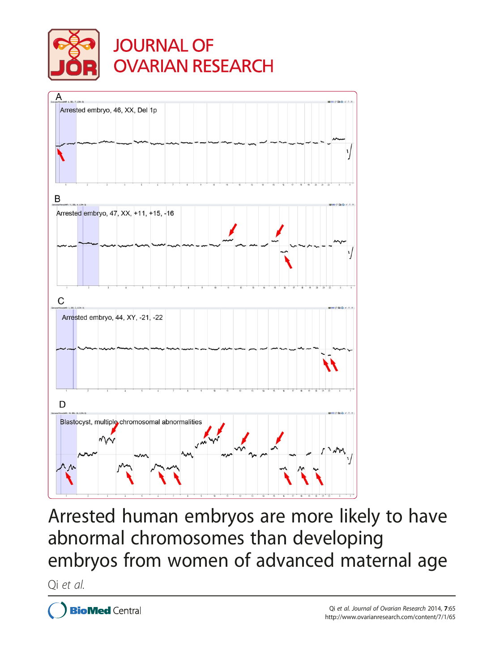

**JOURNAL OF OVARIAN RESEARCH** 



Arrested human embryos are more likely to have abnormal chromosomes than developing embryos from women of advanced maternal age

Qi et al.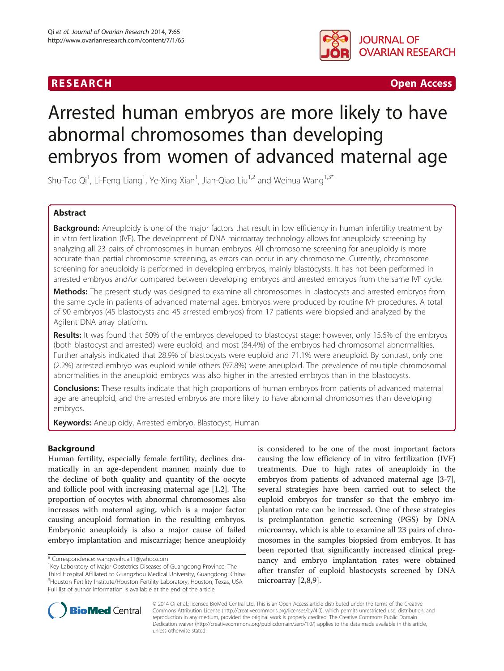## **RESEARCH CHINESE ARCHITECT IN THE SEARCH CHINESE ARCHITECT IN THE SEARCH**



# Arrested human embryos are more likely to have abnormal chromosomes than developing embryos from women of advanced maternal age

Shu-Tao Qi<sup>1</sup>, Li-Feng Liang<sup>1</sup>, Ye-Xing Xian<sup>1</sup>, Jian-Qiao Liu<sup>1,2</sup> and Weihua Wang<sup>1,3\*</sup>

## Abstract

Background: Aneuploidy is one of the major factors that result in low efficiency in human infertility treatment by in vitro fertilization (IVF). The development of DNA microarray technology allows for aneuploidy screening by analyzing all 23 pairs of chromosomes in human embryos. All chromosome screening for aneuploidy is more accurate than partial chromosome screening, as errors can occur in any chromosome. Currently, chromosome screening for aneuploidy is performed in developing embryos, mainly blastocysts. It has not been performed in arrested embryos and/or compared between developing embryos and arrested embryos from the same IVF cycle.

Methods: The present study was designed to examine all chromosomes in blastocysts and arrested embryos from the same cycle in patients of advanced maternal ages. Embryos were produced by routine IVF procedures. A total of 90 embryos (45 blastocysts and 45 arrested embryos) from 17 patients were biopsied and analyzed by the Agilent DNA array platform.

Results: It was found that 50% of the embryos developed to blastocyst stage; however, only 15.6% of the embryos (both blastocyst and arrested) were euploid, and most (84.4%) of the embryos had chromosomal abnormalities. Further analysis indicated that 28.9% of blastocysts were euploid and 71.1% were aneuploid. By contrast, only one (2.2%) arrested embryo was euploid while others (97.8%) were aneuploid. The prevalence of multiple chromosomal abnormalities in the aneuploid embryos was also higher in the arrested embryos than in the blastocysts.

**Conclusions:** These results indicate that high proportions of human embryos from patients of advanced maternal age are aneuploid, and the arrested embryos are more likely to have abnormal chromosomes than developing embryos.

Keywords: Aneuploidy, Arrested embryo, Blastocyst, Human

## Background

Human fertility, especially female fertility, declines dramatically in an age-dependent manner, mainly due to the decline of both quality and quantity of the oocyte and follicle pool with increasing maternal age [[1](#page-7-0),[2\]](#page-7-0). The proportion of oocytes with abnormal chromosomes also increases with maternal aging, which is a major factor causing aneuploid formation in the resulting embryos. Embryonic aneuploidy is also a major cause of failed embryo implantation and miscarriage; hence aneuploidy is considered to be one of the most important factors causing the low efficiency of in vitro fertilization (IVF) treatments. Due to high rates of aneuploidy in the embryos from patients of advanced maternal age [[3-7](#page-7-0)], several strategies have been carried out to select the euploid embryos for transfer so that the embryo implantation rate can be increased. One of these strategies is preimplantation genetic screening (PGS) by DNA microarray, which is able to examine all 23 pairs of chromosomes in the samples biopsied from embryos. It has been reported that significantly increased clinical pregnancy and embryo implantation rates were obtained after transfer of euploid blastocysts screened by DNA microarray [\[2,8,9](#page-7-0)].



© 2014 Qi et al.; licensee BioMed Central Ltd. This is an Open Access article distributed under the terms of the Creative Commons Attribution License [\(http://creativecommons.org/licenses/by/4.0\)](http://creativecommons.org/licenses/by/4.0), which permits unrestricted use, distribution, and reproduction in any medium, provided the original work is properly credited. The Creative Commons Public Domain Dedication waiver [\(http://creativecommons.org/publicdomain/zero/1.0/](http://creativecommons.org/publicdomain/zero/1.0/)) applies to the data made available in this article, unless otherwise stated.

<sup>\*</sup> Correspondence: [wangweihua11@yahoo.com](mailto:wangweihua11@yahoo.com) <sup>1</sup>

 $1$ Key Laboratory of Major Obstetrics Diseases of Guangdong Province, The Third Hospital Affiliated to Guangzhou Medical University, Guangdong, China 3 Houston Fertility Institute/Houston Fertility Laboratory, Houston, Texas, USA Full list of author information is available at the end of the article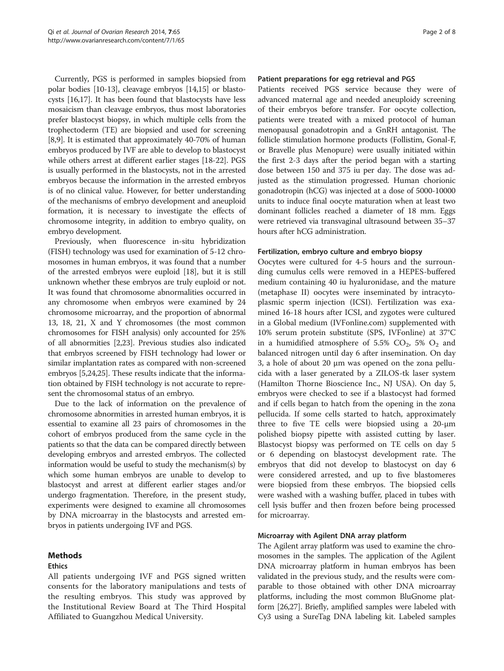Currently, PGS is performed in samples biopsied from polar bodies [\[10](#page-7-0)-[13](#page-7-0)], cleavage embryos [[14,15](#page-7-0)] or blastocysts [[16,17\]](#page-7-0). It has been found that blastocysts have less mosaicism than cleavage embryos, thus most laboratories prefer blastocyst biopsy, in which multiple cells from the trophectoderm (TE) are biopsied and used for screening [[8,9](#page-7-0)]. It is estimated that approximately 40-70% of human embryos produced by IVF are able to develop to blastocyst while others arrest at different earlier stages [[18](#page-7-0)-[22](#page-7-0)]. PGS is usually performed in the blastocysts, not in the arrested embryos because the information in the arrested embryos is of no clinical value. However, for better understanding of the mechanisms of embryo development and aneuploid formation, it is necessary to investigate the effects of chromosome integrity, in addition to embryo quality, on embryo development.

Previously, when fluorescence in-situ hybridization (FISH) technology was used for examination of 5-12 chromosomes in human embryos, it was found that a number of the arrested embryos were euploid [[18](#page-7-0)], but it is still unknown whether these embryos are truly euploid or not. It was found that chromosome abnormalities occurred in any chromosome when embryos were examined by 24 chromosome microarray, and the proportion of abnormal 13, 18, 21, X and Y chromosomes (the most common chromosomes for FISH analysis) only accounted for 25% of all abnormities [\[2,23\]](#page-7-0). Previous studies also indicated that embryos screened by FISH technology had lower or similar implantation rates as compared with non-screened embryos [\[5,24,25\]](#page-7-0). These results indicate that the information obtained by FISH technology is not accurate to represent the chromosomal status of an embryo.

Due to the lack of information on the prevalence of chromosome abnormities in arrested human embryos, it is essential to examine all 23 pairs of chromosomes in the cohort of embryos produced from the same cycle in the patients so that the data can be compared directly between developing embryos and arrested embryos. The collected information would be useful to study the mechanism(s) by which some human embryos are unable to develop to blastocyst and arrest at different earlier stages and/or undergo fragmentation. Therefore, in the present study, experiments were designed to examine all chromosomes by DNA microarray in the blastocysts and arrested embryos in patients undergoing IVF and PGS.

## Methods

## Ethics

All patients undergoing IVF and PGS signed written consents for the laboratory manipulations and tests of the resulting embryos. This study was approved by the Institutional Review Board at The Third Hospital Affiliated to Guangzhou Medical University.

## Patient preparations for egg retrieval and PGS

Patients received PGS service because they were of advanced maternal age and needed aneuploidy screening of their embryos before transfer. For oocyte collection, patients were treated with a mixed protocol of human menopausal gonadotropin and a GnRH antagonist. The follicle stimulation hormone products (Follistim, Gonal-F, or Bravelle plus Menopure) were usually initiated within the first 2-3 days after the period began with a starting dose between 150 and 375 iu per day. The dose was adjusted as the stimulation progressed. Human chorionic gonadotropin (hCG) was injected at a dose of 5000-10000 units to induce final oocyte maturation when at least two dominant follicles reached a diameter of 18 mm. Eggs were retrieved via transvaginal ultrasound between 35–37 hours after hCG administration.

## Fertilization, embryo culture and embryo biopsy

Oocytes were cultured for 4-5 hours and the surrounding cumulus cells were removed in a HEPES-buffered medium containing 40 iu hyaluronidase, and the mature (metaphase II) oocytes were inseminated by intracytoplasmic sperm injection (ICSI). Fertilization was examined 16-18 hours after ICSI, and zygotes were cultured in a Global medium ([IVFonline.com\)](http://IVFonline.com) supplemented with 10% serum protein substitute (SPS, IVFonline) at 37°C in a humidified atmosphere of 5.5%  $CO_2$ , 5%  $O_2$  and balanced nitrogen until day 6 after insemination. On day 3, a hole of about 20 μm was opened on the zona pellucida with a laser generated by a ZILOS-tk laser system (Hamilton Thorne Bioscience Inc., NJ USA). On day 5, embryos were checked to see if a blastocyst had formed and if cells began to hatch from the opening in the zona pellucida. If some cells started to hatch, approximately three to five TE cells were biopsied using a 20-μm polished biopsy pipette with assisted cutting by laser. Blastocyst biopsy was performed on TE cells on day 5 or 6 depending on blastocyst development rate. The embryos that did not develop to blastocyst on day 6 were considered arrested, and up to five blastomeres were biopsied from these embryos. The biopsied cells were washed with a washing buffer, placed in tubes with cell lysis buffer and then frozen before being processed for microarray.

## Microarray with Agilent DNA array platform

The Agilent array platform was used to examine the chromosomes in the samples. The application of the Agilent DNA microarray platform in human embryos has been validated in the previous study, and the results were comparable to those obtained with other DNA microarray platforms, including the most common BluGnome platform [[26,27](#page-8-0)]. Briefly, amplified samples were labeled with Cy3 using a SureTag DNA labeling kit. Labeled samples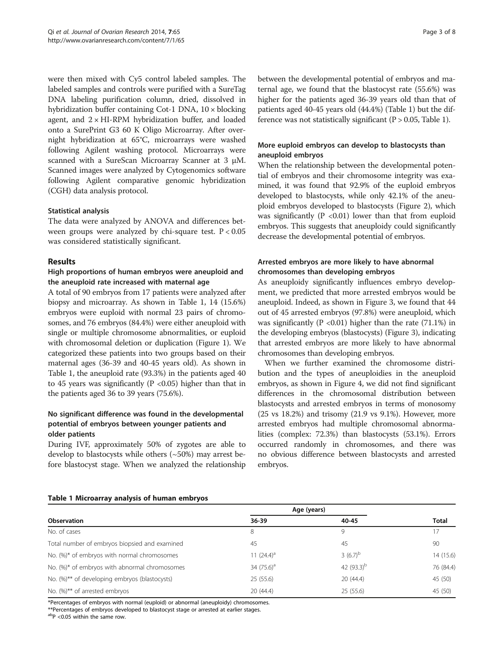were then mixed with Cy5 control labeled samples. The labeled samples and controls were purified with a SureTag DNA labeling purification column, dried, dissolved in hybridization buffer containing Cot-1 DNA, 10 × blocking agent, and  $2 \times HI-RPM$  hybridization buffer, and loaded onto a SurePrint G3 60 K Oligo Microarray. After overnight hybridization at 65°C, microarrays were washed following Agilent washing protocol. Microarrays were scanned with a SureScan Microarray Scanner at 3 μM. Scanned images were analyzed by Cytogenomics software following Agilent comparative genomic hybridization (CGH) data analysis protocol.

## Statistical analysis

The data were analyzed by ANOVA and differences between groups were analyzed by chi-square test.  $P < 0.05$ was considered statistically significant.

## Results

## High proportions of human embryos were aneuploid and the aneuploid rate increased with maternal age

A total of 90 embryos from 17 patients were analyzed after biopsy and microarray. As shown in Table 1, 14 (15.6%) embryos were euploid with normal 23 pairs of chromosomes, and 76 embryos (84.4%) were either aneuploid with single or multiple chromosome abnormalities, or euploid with chromosomal deletion or duplication (Figure [1\)](#page-5-0). We categorized these patients into two groups based on their maternal ages (36-39 and 40-45 years old). As shown in Table 1, the aneuploid rate (93.3%) in the patients aged 40 to 45 years was significantly ( $P < 0.05$ ) higher than that in the patients aged 36 to 39 years (75.6%).

## No significant difference was found in the developmental potential of embryos between younger patients and older patients

During IVF, approximately 50% of zygotes are able to develop to blastocysts while others (~50%) may arrest before blastocyst stage. When we analyzed the relationship

between the developmental potential of embryos and maternal age, we found that the blastocyst rate (55.6%) was higher for the patients aged 36-39 years old than that of patients aged 40-45 years old (44.4%) (Table 1) but the difference was not statistically significant ( $P > 0.05$ , Table 1).

## More euploid embryos can develop to blastocysts than aneuploid embryos

When the relationship between the developmental potential of embryos and their chromosome integrity was examined, it was found that 92.9% of the euploid embryos developed to blastocysts, while only 42.1% of the aneuploid embryos developed to blastocysts (Figure [2\)](#page-5-0), which was significantly ( $P < 0.01$ ) lower than that from euploid embryos. This suggests that aneuploidy could significantly decrease the developmental potential of embryos.

## Arrested embryos are more likely to have abnormal chromosomes than developing embryos

As aneuploidy significantly influences embryo development, we predicted that more arrested embryos would be aneuploid. Indeed, as shown in Figure [3](#page-5-0), we found that 44 out of 45 arrested embryos (97.8%) were aneuploid, which was significantly ( $P < 0.01$ ) higher than the rate (71.1%) in the developing embryos (blastocysts) (Figure [3](#page-5-0)), indicating that arrested embryos are more likely to have abnormal chromosomes than developing embryos.

When we further examined the chromosome distribution and the types of aneuploidies in the aneuploid embryos, as shown in Figure [4,](#page-6-0) we did not find significant differences in the chromosomal distribution between blastocysts and arrested embryos in terms of monosomy (25 vs 18.2%) and trisomy (21.9 vs 9.1%). However, more arrested embryos had multiple chromosomal abnormalities (complex: 72.3%) than blastocysts (53.1%). Errors occurred randomly in chromosomes, and there was no obvious difference between blastocysts and arrested embryos.

| <b>Observation</b>                            | Age (years)   |               |              |
|-----------------------------------------------|---------------|---------------|--------------|
|                                               | 36-39         | 40-45         | <b>Total</b> |
| No. of cases                                  | 8             | 9             | 17           |
| Total number of embryos biopsied and examined | 45            | 45            | 90           |
| No. (%)* of embryos with normal chromosomes   | 11 $(24.4)^a$ | $3(6.7)^{b}$  | 14 (15.6)    |
| No. (%)* of embryos with abnormal chromosomes | 34 $(75.6)^a$ | 42 $(93.3)^b$ | 76 (84.4)    |
| No. (%)** of developing embryos (blastocysts) | 25(55.6)      | 20(44.4)      | 45 (50)      |
| No. (%)** of arrested embryos                 | 20 (44.4)     | 25 (55.6)     | 45 (50)      |

Table 1 Microarray analysis of human embryos

\*Percentages of embryos with normal (euploid) or abnormal (aneuploidy) chromosomes.

\*\*Percentages of embryos developed to blastocyst stage or arrested at earlier stages.

abp <0.05 within the same row.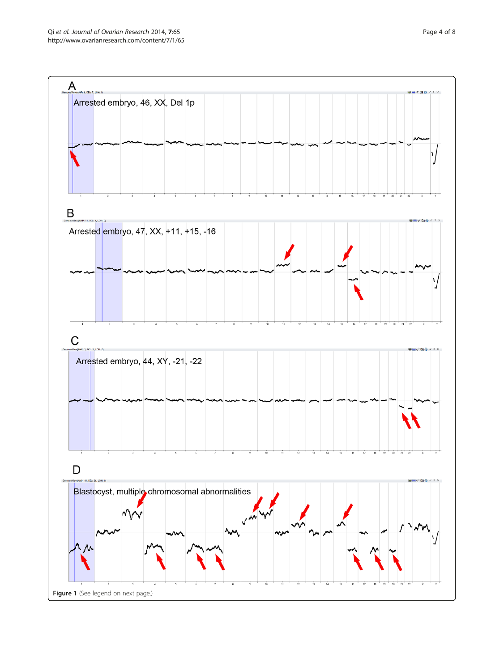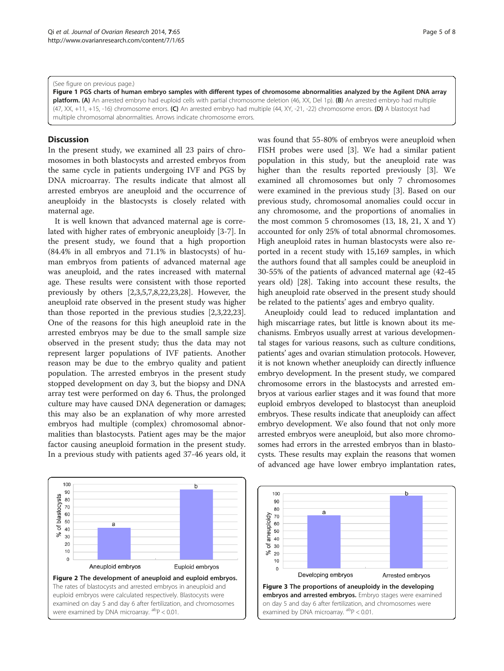#### <span id="page-5-0"></span>(See figure on previous page.)

Figure 1 PGS charts of human embryo samples with different types of chromosome abnormalities analyzed by the Agilent DNA array platform. (A) An arrested embryo had euploid cells with partial chromosome deletion (46, XX, Del 1p). (B) An arrested embryo had multiple (47, XX, +11, +15, -16) chromosome errors. (C) An arrested embryo had multiple (44, XY, -21, -22) chromosome errors. (D) A blastocyst had multiple chromosomal abnormalities. Arrows indicate chromosome errors.

## **Discussion**

In the present study, we examined all 23 pairs of chromosomes in both blastocysts and arrested embryos from the same cycle in patients undergoing IVF and PGS by DNA microarray. The results indicate that almost all arrested embryos are aneuploid and the occurrence of aneuploidy in the blastocysts is closely related with maternal age.

It is well known that advanced maternal age is correlated with higher rates of embryonic aneuploidy [\[3-7](#page-7-0)]. In the present study, we found that a high proportion (84.4% in all embryos and 71.1% in blastocysts) of human embryos from patients of advanced maternal age was aneuploid, and the rates increased with maternal age. These results were consistent with those reported previously by others [[2,3,5,7,8,22,23,](#page-7-0)[28\]](#page-8-0). However, the aneuploid rate observed in the present study was higher than those reported in the previous studies [\[2,3,22,23](#page-7-0)]. One of the reasons for this high aneuploid rate in the arrested embryos may be due to the small sample size observed in the present study; thus the data may not represent larger populations of IVF patients. Another reason may be due to the embryo quality and patient population. The arrested embryos in the present study stopped development on day 3, but the biopsy and DNA array test were performed on day 6. Thus, the prolonged culture may have caused DNA degeneration or damages; this may also be an explanation of why more arrested embryos had multiple (complex) chromosomal abnormalities than blastocysts. Patient ages may be the major factor causing aneuploid formation in the present study. In a previous study with patients aged 37-46 years old, it was found that 55-80% of embryos were aneuploid when FISH probes were used [[3\]](#page-7-0). We had a similar patient population in this study, but the aneuploid rate was higher than the results reported previously [[3](#page-7-0)]. We examined all chromosomes but only 7 chromosomes were examined in the previous study [[3\]](#page-7-0). Based on our previous study, chromosomal anomalies could occur in any chromosome, and the proportions of anomalies in the most common 5 chromosomes (13, 18, 21, X and Y) accounted for only 25% of total abnormal chromosomes. High aneuploid rates in human blastocysts were also reported in a recent study with 15,169 samples, in which the authors found that all samples could be aneuploid in 30-55% of the patients of advanced maternal age (42-45 years old) [[28](#page-8-0)]. Taking into account these results, the high aneuploid rate observed in the present study should be related to the patients' ages and embryo quality.

Aneuploidy could lead to reduced implantation and high miscarriage rates, but little is known about its mechanisms. Embryos usually arrest at various developmental stages for various reasons, such as culture conditions, patients' ages and ovarian stimulation protocols. However, it is not known whether aneuploidy can directly influence embryo development. In the present study, we compared chromosome errors in the blastocysts and arrested embryos at various earlier stages and it was found that more euploid embryos developed to blastocyst than aneuploid embryos. These results indicate that aneuploidy can affect embryo development. We also found that not only more arrested embryos were aneuploid, but also more chromosomes had errors in the arrested embryos than in blastocysts. These results may explain the reasons that women of advanced age have lower embryo implantation rates,

![](_page_5_Figure_8.jpeg)

![](_page_5_Figure_9.jpeg)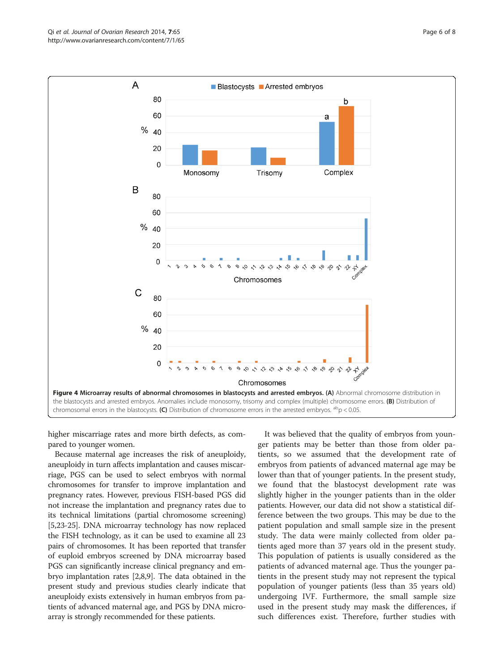higher miscarriage rates and more birth defects, as compared to younger women.

Because maternal age increases the risk of aneuploidy, aneuploidy in turn affects implantation and causes miscarriage, PGS can be used to select embryos with normal chromosomes for transfer to improve implantation and pregnancy rates. However, previous FISH-based PGS did not increase the implantation and pregnancy rates due to its technical limitations (partial chromosome screening) [[5,23](#page-7-0)-[25](#page-7-0)]. DNA microarray technology has now replaced the FISH technology, as it can be used to examine all 23 pairs of chromosomes. It has been reported that transfer of euploid embryos screened by DNA microarray based PGS can significantly increase clinical pregnancy and embryo implantation rates [\[2,8,9](#page-7-0)]. The data obtained in the present study and previous studies clearly indicate that aneuploidy exists extensively in human embryos from patients of advanced maternal age, and PGS by DNA microarray is strongly recommended for these patients.

It was believed that the quality of embryos from younger patients may be better than those from older patients, so we assumed that the development rate of embryos from patients of advanced maternal age may be lower than that of younger patients. In the present study, we found that the blastocyst development rate was slightly higher in the younger patients than in the older patients. However, our data did not show a statistical difference between the two groups. This may be due to the patient population and small sample size in the present study. The data were mainly collected from older patients aged more than 37 years old in the present study. This population of patients is usually considered as the patients of advanced maternal age. Thus the younger patients in the present study may not represent the typical population of younger patients (less than 35 years old) undergoing IVF. Furthermore, the small sample size used in the present study may mask the differences, if such differences exist. Therefore, further studies with

<span id="page-6-0"></span>![](_page_6_Figure_3.jpeg)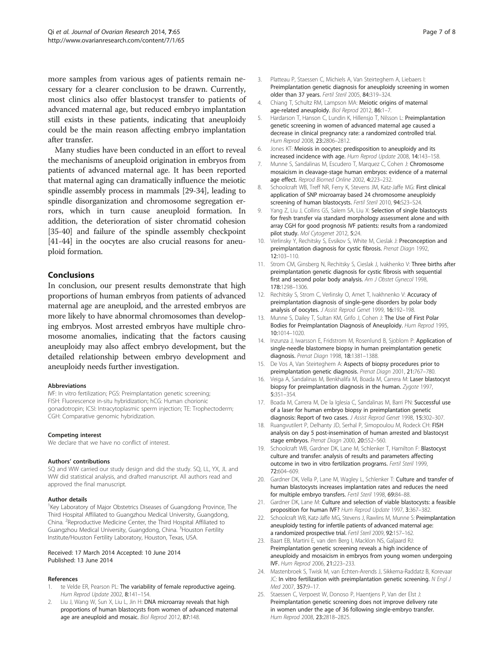<span id="page-7-0"></span>more samples from various ages of patients remain necessary for a clearer conclusion to be drawn. Currently, most clinics also offer blastocyst transfer to patients of advanced maternal age, but reduced embryo implantation still exists in these patients, indicating that aneuploidy could be the main reason affecting embryo implantation after transfer.

Many studies have been conducted in an effort to reveal the mechanisms of aneuploid origination in embryos from patients of advanced maternal age. It has been reported that maternal aging can dramatically influence the meiotic spindle assembly process in mammals [[29](#page-8-0)-[34](#page-8-0)], leading to spindle disorganization and chromosome segregation errors, which in turn cause aneuploid formation. In addition, the deterioration of sister chromatid cohesion [[35](#page-8-0)-[40\]](#page-8-0) and failure of the spindle assembly checkpoint [[41](#page-8-0)-[44\]](#page-8-0) in the oocytes are also crucial reasons for aneuploid formation.

## Conclusions

In conclusion, our present results demonstrate that high proportions of human embryos from patients of advanced maternal age are aneuploid, and the arrested embryos are more likely to have abnormal chromosomes than developing embryos. Most arrested embryos have multiple chromosome anomalies, indicating that the factors causing aneuploidy may also affect embryo development, but the detailed relationship between embryo development and aneuploidy needs further investigation.

#### Abbreviations

IVF: In vitro fertilization; PGS: Preimplantation genetic screening; FISH: Fluorescence in-situ hybridization; hCG: Human chorionic gonadotropin; ICSI: Intracytoplasmic sperm injection; TE: Trophectoderm; CGH: Comparative genomic hybridization.

#### Competing interest

We declare that we have no conflict of interest.

#### Authors' contributions

SQ and WW carried our study design and did the study. SQ, LL, YX, JL and WW did statistical analysis, and drafted manuscript. All authors read and approved the final manuscript.

#### Author details

<sup>1</sup> Key Laboratory of Major Obstetrics Diseases of Guangdong Province, The Third Hospital Affiliated to Guangzhou Medical University, Guangdong, China. <sup>2</sup> Reproductive Medicine Center, the Third Hospital Affiliated to Guangzhou Medical University, Guangdong, China. <sup>3</sup>Houston Fertility Institute/Houston Fertility Laboratory, Houston, Texas, USA.

#### Received: 17 March 2014 Accepted: 10 June 2014 Published: 13 June 2014

## References

- 1. te Velde ER, Pearson PL: The variability of female reproductive ageing. Hum Reprod Update 2002, 8:141–154.
- Liu J, Wang W, Sun X, Liu L, Jin H: DNA microarray reveals that high proportions of human blastocysts from women of advanced maternal age are aneuploid and mosaic. Biol Reprod 2012, 87:148.
- 3. Platteau P, Staessen C, Michiels A, Van Steirteghem A, Liebaers I: Preimplantation genetic diagnosis for aneuploidy screening in women older than 37 years. Fertil Steril 2005, 84:319–324.
- 4. Chiang T, Schultz RM, Lampson MA: Meiotic origins of maternal age-related aneuploidy. Biol Reprod 2012, 86:1–7.
- Hardarson T, Hanson C, Lundin K, Hillensjo T, Nilsson L: Preimplantation genetic screening in women of advanced maternal age caused a decrease in clinical pregnancy rate: a randomized controlled trial. Hum Reprod 2008, 23:2806–2812.
- 6. Jones KT: Meiosis in oocytes: predisposition to aneuploidy and its increased incidence with age. Hum Reprod Update 2008, 14:143–158.
- 7. Munne S, Sandalinas M, Escudero T, Marquez C, Cohen J: Chromosome mosaicism in cleavage-stage human embryos: evidence of a maternal age effect. Reprod Biomed Online 2002, 4:223–232.
- 8. Schoolcraft WB, Treff NR, Ferry K, Stevens JM, Katz-Jaffe MG: First clinical application of SNP microarray based 24 chromosome aneuploidy screening of human blastocysts. Fertil Steril 2010, 94:S23–S24.
- 9. Yang Z, Liu J, Collins GS, Salem SA, Liu X: Selection of single blastocysts for fresh transfer via standard morphology assessment alone and with array CGH for good prognosis IVF patients: results from a randomized pilot study. Mol Cytogenet 2012, 5:24.
- 10. Verlinsky Y, Rechitsky S, Evsikov S, White M, Cieslak J: Preconception and preimplantation diagnosis for cystic fibrosis. Prenat Diagn 1992, 12:103–110.
- 11. Strom CM, Ginsberg N, Rechitsky S, Cieslak J, Ivakhenko V: Three births after preimplantation genetic diagnosis for cystic fibrosis with sequential first and second polar body analysis. Am J Obstet Gynecol 1998, 178:1298–1306.
- 12. Rechitsky S, Strom C, Verlinsky O, Amet T, Ivakhnenko V: Accuracy of preimplantation diagnosis of single-gene disorders by polar body analysis of oocytes. J Assist Reprod Genet 1999, 16:192-198.
- 13. Munne S, Dailey T, Sultan KM, Grifo J, Cohen J: The Use of First Polar Bodies for Preimplantation Diagnosis of Aneuploidy. Hum Reprod 1995, 10:1014–1020.
- 14. Inzunza J, Iwarsson E, Fridstrom M, Rosenlund B, Sjoblom P: Application of single-needle blastomere biopsy in human preimplantation genetic diagnosis. Prenat Diagn 1998, 18:1381–1388.
- 15. De Vos A, Van Steirteghem A: Aspects of biopsy procedures prior to preimplantation genetic diagnosis. Prenat Diagn 2001, 21:767–780.
- 16. Veiga A, Sandalinas M, Benkhalifa M, Boada M, Carrera M: Laser blastocyst biopsy for preimplantation diagnosis in the human. Zygote 1997, 5:351–354.
- 17. Boada M, Carrera M, De la Iglesia C, Sandalinas M, Barri PN: Successful use of a laser for human embryo biopsy in preimplantation genetic diagnosis: Report of two cases. J Assist Reprod Genet 1998, 15:302–307.
- 18. Ruangvutilert P, Delhanty JD, Serhal P, Simopoulou M, Rodeck CH: FISH analysis on day 5 post-insemination of human arrested and blastocyst stage embryos. Prenat Diagn 2000, 20:552–560.
- 19. Schoolcraft WB, Gardner DK, Lane M, Schlenker T, Hamilton F: Blastocyst culture and transfer: analysis of results and parameters affecting outcome in two in vitro fertilization programs. Fertil Steril 1999, 72:604–609.
- 20. Gardner DK, Vella P, Lane M, Wagley L, Schlenker T: Culture and transfer of human blastocysts increases implantation rates and reduces the need for multiple embryo transfers. Fertil Steril 1998, 69:84–88.
- 21. Gardner DK, Lane M: Culture and selection of viable blastocysts: a feasible proposition for human IVF? Hum Reprod Update 1997, 3:367-382
- 22. Schoolcraft WB, Katz-Jaffe MG, Stevens J, Rawlins M, Munne S; Preimplantation aneuploidy testing for infertile patients of advanced maternal age: a randomized prospective trial. Fertil Steril 2009, 92:157–162.
- 23. Baart EB, Martini E, van den Berg I, Macklon NS, Galjaard RJ: Preimplantation genetic screening reveals a high incidence of aneuploidy and mosaicism in embryos from young women undergoing IVF. Hum Reprod 2006, 21:223–233.
- 24. Mastenbroek S, Twisk M, van Echten-Arends J, Sikkema-Raddatz B, Korevaar JC: In vitro fertilization with preimplantation genetic screening. N Engl J Med 2007, 357:9–17.
- 25. Staessen C, Verpoest W, Donoso P, Haentjens P, Van der Elst J: Preimplantation genetic screening does not improve delivery rate in women under the age of 36 following single-embryo transfer. Hum Reprod 2008, 23:2818–2825.